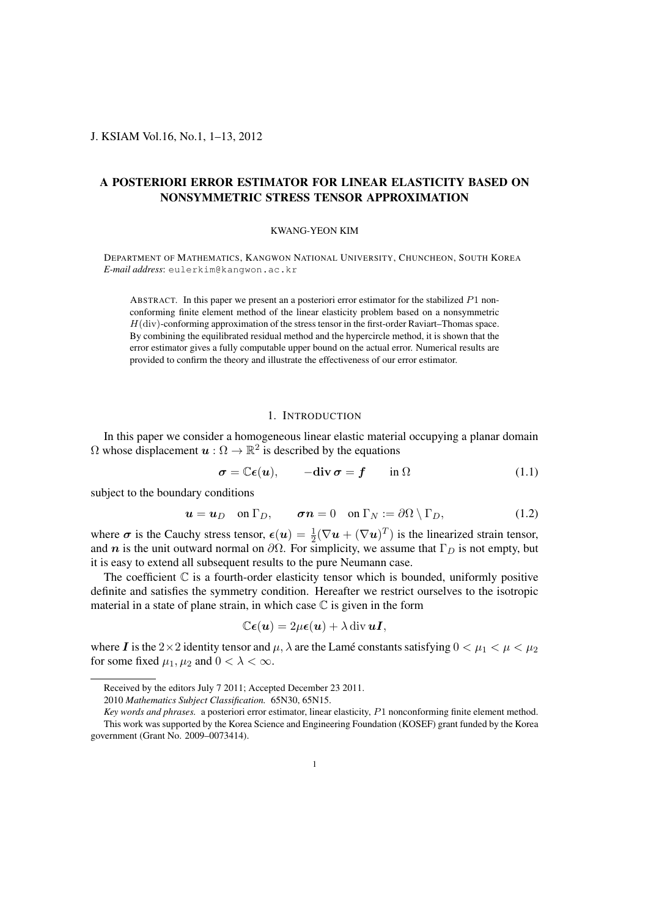# J. KSIAM Vol.16, No.1, 1–13, 2012

# A POSTERIORI ERROR ESTIMATOR FOR LINEAR ELASTICITY BASED ON NONSYMMETRIC STRESS TENSOR APPROXIMATION

### KWANG-YEON KIM

DEPARTMENT OF MATHEMATICS, KANGWON NATIONAL UNIVERSITY, CHUNCHEON, SOUTH KOREA *E-mail address*: eulerkim@kangwon.ac.kr

ABSTRACT. In this paper we present an a posteriori error estimator for the stabilized *P*1 nonconforming finite element method of the linear elasticity problem based on a nonsymmetric *H*(div)-conforming approximation of the stress tensor in the first-order Raviart–Thomas space. By combining the equilibrated residual method and the hypercircle method, it is shown that the error estimator gives a fully computable upper bound on the actual error. Numerical results are provided to confirm the theory and illustrate the effectiveness of our error estimator.

# 1. INTRODUCTION

In this paper we consider a homogeneous linear elastic material occupying a planar domain  $\Omega$  whose displacement  $\boldsymbol{u}: \Omega \to \mathbb{R}^2$  is described by the equations

$$
\sigma = \mathbb{C}\epsilon(u), \qquad -\text{div}\,\sigma = f \qquad \text{in } \Omega \tag{1.1}
$$

subject to the boundary conditions

$$
\mathbf{u} = \mathbf{u}_D \quad \text{on } \Gamma_D, \qquad \boldsymbol{\sigma} \mathbf{n} = 0 \quad \text{on } \Gamma_N := \partial \Omega \setminus \Gamma_D, \tag{1.2}
$$

where  $\sigma$  is the Cauchy stress tensor,  $\epsilon(u) = \frac{1}{2}(\nabla u + (\nabla u)^T)$  is the linearized strain tensor, and *n* is the unit outward normal on  $\partial\Omega$ . For simplicity, we assume that  $\Gamma_D$  is not empty, but it is easy to extend all subsequent results to the pure Neumann case.

The coefficient  $\mathbb C$  is a fourth-order elasticity tensor which is bounded, uniformly positive definite and satisfies the symmetry condition. Hereafter we restrict ourselves to the isotropic material in a state of plane strain, in which case  $\mathbb C$  is given in the form

$$
\mathbb{C}\boldsymbol{\epsilon}(\boldsymbol{u})=2\mu\boldsymbol{\epsilon}(\boldsymbol{u})+\lambda\operatorname{div}\boldsymbol{u}\boldsymbol{I},
$$

where *I* is the 2 $\times$ 2 identity tensor and  $\mu$ ,  $\lambda$  are the Lame constants satisfying  $0 < \mu_1 < \mu < \mu_2$ for some fixed  $\mu_1, \mu_2$  and  $0 < \lambda < \infty$ .

Received by the editors July 7 2011; Accepted December 23 2011.

<sup>2010</sup> *Mathematics Subject Classification.* 65N30, 65N15.

*Key words and phrases.* a posteriori error estimator, linear elasticity, *P*1 nonconforming finite element method. This work was supported by the Korea Science and Engineering Foundation (KOSEF) grant funded by the Korea government (Grant No. 2009–0073414).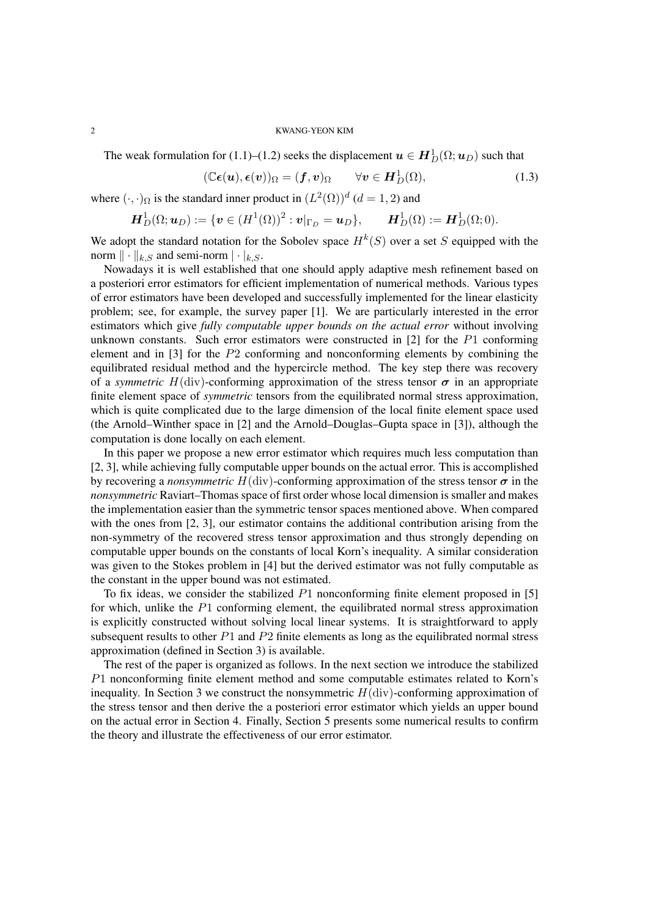The weak formulation for (1.1)–(1.2) seeks the displacement  $\boldsymbol{u} \in \boldsymbol{H}^1_D(\Omega;\boldsymbol{u}_D)$  such that

$$
(\mathbb{C}\boldsymbol{\epsilon}(\boldsymbol{u}),\boldsymbol{\epsilon}(\boldsymbol{v}))_{\Omega}=(\boldsymbol{f},\boldsymbol{v})_{\Omega} \qquad \forall \boldsymbol{v} \in \boldsymbol{H}_{D}^{1}(\Omega), \qquad (1.3)
$$

where  $(\cdot, \cdot)_{\Omega}$  is the standard inner product in  $(L^2(\Omega))^d$   $(d = 1, 2)$  and

$$
\boldsymbol{H}_D^1(\Omega;\boldsymbol{u}_D):=\{\boldsymbol{v}\in (H^1(\Omega))^2:\boldsymbol{v}|_{\Gamma_D}=\boldsymbol{u}_D\},\qquad \boldsymbol{H}_D^1(\Omega):=\boldsymbol{H}_D^1(\Omega;0).
$$

We adopt the standard notation for the Sobolev space  $H^k(S)$  over a set *S* equipped with the norm  $\|\cdot\|_{k,S}$  and semi-norm  $|\cdot|_{k,S}$ .

Nowadays it is well established that one should apply adaptive mesh refinement based on a posteriori error estimators for efficient implementation of numerical methods. Various types of error estimators have been developed and successfully implemented for the linear elasticity problem; see, for example, the survey paper [1]. We are particularly interested in the error estimators which give *fully computable upper bounds on the actual error* without involving unknown constants. Such error estimators were constructed in [2] for the *P*1 conforming element and in [3] for the *P*2 conforming and nonconforming elements by combining the equilibrated residual method and the hypercircle method. The key step there was recovery of a *symmetric*  $H(\text{div})$ -conforming approximation of the stress tensor  $\sigma$  in an appropriate finite element space of *symmetric* tensors from the equilibrated normal stress approximation, which is quite complicated due to the large dimension of the local finite element space used (the Arnold–Winther space in [2] and the Arnold–Douglas–Gupta space in [3]), although the computation is done locally on each element.

In this paper we propose a new error estimator which requires much less computation than [2, 3], while achieving fully computable upper bounds on the actual error. This is accomplished by recovering a *nonsymmetric*  $H$ (div)-conforming approximation of the stress tensor  $\sigma$  in the *nonsymmetric* Raviart–Thomas space of first order whose local dimension is smaller and makes the implementation easier than the symmetric tensor spaces mentioned above. When compared with the ones from [2, 3], our estimator contains the additional contribution arising from the non-symmetry of the recovered stress tensor approximation and thus strongly depending on computable upper bounds on the constants of local Korn's inequality. A similar consideration was given to the Stokes problem in [4] but the derived estimator was not fully computable as the constant in the upper bound was not estimated.

To fix ideas, we consider the stabilized *P*1 nonconforming finite element proposed in [5] for which, unlike the *P*1 conforming element, the equilibrated normal stress approximation is explicitly constructed without solving local linear systems. It is straightforward to apply subsequent results to other *P*1 and *P*2 finite elements as long as the equilibrated normal stress approximation (defined in Section 3) is available.

The rest of the paper is organized as follows. In the next section we introduce the stabilized *P*1 nonconforming finite element method and some computable estimates related to Korn's inequality. In Section 3 we construct the nonsymmetric  $H(\text{div})$ -conforming approximation of the stress tensor and then derive the a posteriori error estimator which yields an upper bound on the actual error in Section 4. Finally, Section 5 presents some numerical results to confirm the theory and illustrate the effectiveness of our error estimator.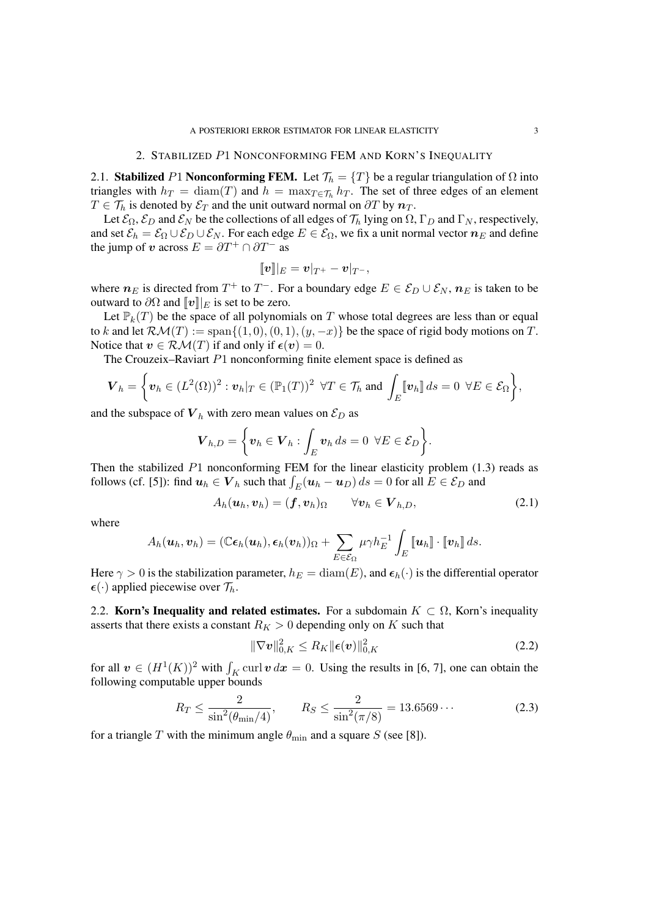### 2. STABILIZED *P*1 NONCONFORMING FEM AND KORN'S INEQUALITY

2.1. Stabilized *P*1 Nonconforming FEM. Let  $\mathcal{T}_h = \{T\}$  be a regular triangulation of  $\Omega$  into triangles with  $h_T = \text{diam}(T)$  and  $h = \max_{T \in \mathcal{T}_h} h_T$ . The set of three edges of an element *T*  $\in$  *T*<sup>*h*</sup> is denoted by  $\mathcal{E}_T$  and the unit outward normal on  $\partial T$  by  $n_T$ .

Let  $\mathcal{E}_{\Omega}$ ,  $\mathcal{E}_{D}$  and  $\mathcal{E}_{N}$  be the collections of all edges of  $\mathcal{T}_{h}$  lying on  $\Omega$ ,  $\Gamma_{D}$  and  $\Gamma_{N}$ , respectively, and set  $\mathcal{E}_h = \mathcal{E}_{\Omega} \cup \mathcal{E}_D \cup \mathcal{E}_N$ . For each edge  $E \in \mathcal{E}_{\Omega}$ , we fix a unit normal vector  $n_E$  and define the jump of *v* across  $E = \partial T^+ \cap \partial T^-$  as

$$
[\![\boldsymbol{v}]\!] |_{E} = \boldsymbol{v}|_{T^+} - \boldsymbol{v}|_{T^-},
$$

where  $n_E$  is directed from  $T^+$  to  $T^-$ . For a boundary edge  $E \in \mathcal{E}_D \cup \mathcal{E}_N$ ,  $n_E$  is taken to be outward to  $\partial\Omega$  and  $\llbracket v \rrbracket |_E$  is set to be zero.

Let  $\mathbb{P}_k(T)$  be the space of all polynomials on T whose total degrees are less than or equal to *k* and let  $\mathcal{RM}(T) := \text{span}\{(1,0), (0,1), (y,-x)\}$  be the space of rigid body motions on  $T$ . Notice that  $v \in \mathcal{RM}(T)$  if and only if  $\epsilon(v) = 0$ .

The Crouzeix–Raviart *P*1 nonconforming finite element space is defined as

$$
\boldsymbol{V}_h = \left\{ \boldsymbol{v}_h \in (L^2(\Omega))^2 : \boldsymbol{v}_h|_T \in (\mathbb{P}_1(T))^2 \ \forall T \in \mathcal{T}_h \text{ and } \int_E [\boldsymbol{v}_h] \, ds = 0 \ \forall E \in \mathcal{E}_\Omega \right\},\
$$

and the subspace of  $V_h$  with zero mean values on  $\mathcal{E}_D$  as

$$
\boldsymbol{V}_{h,D} = \bigg\{ \boldsymbol{v}_h \in \boldsymbol{V}_h : \int_E \boldsymbol{v}_h \, ds = 0 \ \ \forall E \in \mathcal{E}_D \bigg\}.
$$

Then the stabilized *P*1 nonconforming FEM for the linear elasticity problem (1.3) reads as follows (cf. [5]): find  $u_h \in V_h$  such that  $\int_E (u_h - u_D) ds = 0$  for all  $E \in \mathcal{E}_D$  and

$$
A_h(\boldsymbol{u}_h,\boldsymbol{v}_h)=(\boldsymbol{f},\boldsymbol{v}_h)_{\Omega} \qquad \forall \boldsymbol{v}_h \in \boldsymbol{V}_{h,D}, \qquad (2.1)
$$

where

$$
A_h(\boldsymbol{u}_h,\boldsymbol{v}_h) = (\mathbb{C}\boldsymbol{\epsilon}_h(\boldsymbol{u}_h),\boldsymbol{\epsilon}_h(\boldsymbol{v}_h))_{\Omega} + \sum_{E \in \mathcal{E}_{\Omega}} \mu \gamma h_E^{-1} \int_E [\![\boldsymbol{u}_h]\!] \cdot [\![\boldsymbol{v}_h]\!] \, ds.
$$

Here  $\gamma > 0$  is the stabilization parameter,  $h_E = \text{diam}(E)$ , and  $\epsilon_h(\cdot)$  is the differential operator  $\epsilon(\cdot)$  applied piecewise over  $\mathcal{T}_h$ .

2.2. **Korn's Inequality and related estimates.** For a subdomain  $K \subset \Omega$ , Korn's inequality asserts that there exists a constant  $R_K > 0$  depending only on K such that

$$
\|\nabla \boldsymbol{v}\|_{0,K}^2 \le R_K \|\boldsymbol{\epsilon}(\boldsymbol{v})\|_{0,K}^2 \tag{2.2}
$$

for all  $v \in (H^1(K))^2$  with  $\int_K \text{curl } v \, dx = 0$ . Using the results in [6, 7], one can obtain the following computable upper bounds

$$
R_T \le \frac{2}{\sin^2(\theta_{\text{min}}/4)}, \qquad R_S \le \frac{2}{\sin^2(\pi/8)} = 13.6569\cdots
$$
 (2.3)

for a triangle *T* with the minimum angle  $\theta_{\min}$  and a square *S* (see [8]).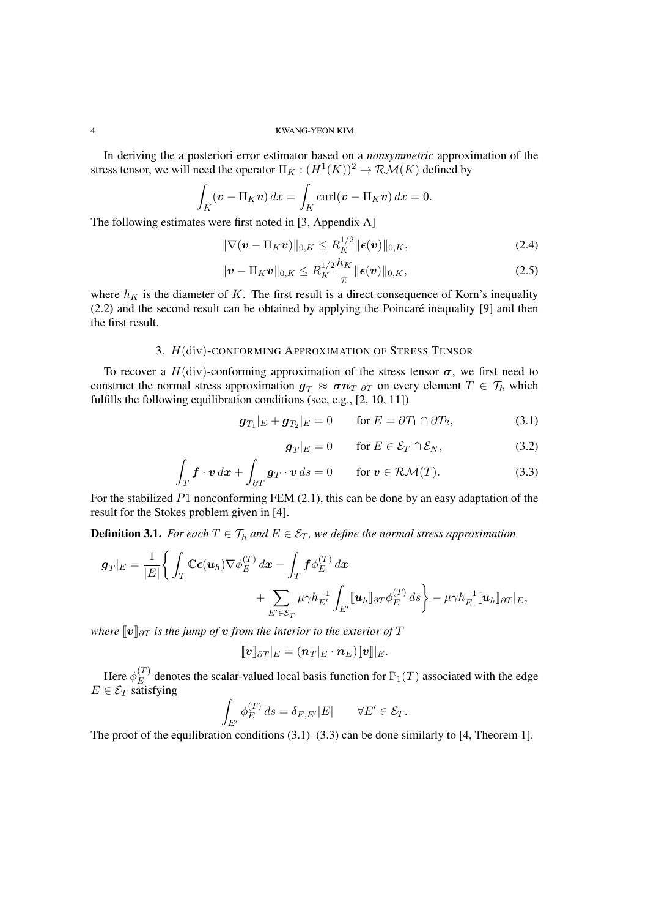In deriving the a posteriori error estimator based on a *nonsymmetric* approximation of the stress tensor, we will need the operator  $\Pi_K : (H^1(K))^2 \to \mathcal{RM}(K)$  defined by

$$
\int_{K} (\mathbf{v} - \Pi_{K} \mathbf{v}) dx = \int_{K} \text{curl} (\mathbf{v} - \Pi_{K} \mathbf{v}) dx = 0.
$$

The following estimates were first noted in [3, Appendix A]

$$
\|\nabla(\boldsymbol{v} - \Pi_K \boldsymbol{v})\|_{0,K} \le R_K^{1/2} \|\boldsymbol{\epsilon}(\boldsymbol{v})\|_{0,K},\tag{2.4}
$$

$$
\|\boldsymbol{v} - \Pi_K \boldsymbol{v}\|_{0,K} \le R_K^{1/2} \frac{h_K}{\pi} \|\boldsymbol{\epsilon}(\boldsymbol{v})\|_{0,K},
$$
\n(2.5)

where  $h_K$  is the diameter of  $K$ . The first result is a direct consequence of Korn's inequality  $(2.2)$  and the second result can be obtained by applying the Poincaré inequality [9] and then the first result.

# 3. *H*(div)-CONFORMING APPROXIMATION OF STRESS TENSOR

To recover a  $H$ (div)-conforming approximation of the stress tensor  $\sigma$ , we first need to construct the normal stress approximation  $g_T \approx \sigma n_T |_{\partial T}$  on every element  $T \in \mathcal{T}_h$  which fulfills the following equilibration conditions (see, e.g., [2, 10, 11])

$$
\boldsymbol{g}_{T_1}|_E + \boldsymbol{g}_{T_2}|_E = 0 \quad \text{for } E = \partial T_1 \cap \partial T_2,\tag{3.1}
$$

$$
\mathbf{g}_T|_E = 0 \qquad \text{for } E \in \mathcal{E}_T \cap \mathcal{E}_N,\tag{3.2}
$$

$$
\int_{T} \mathbf{f} \cdot \mathbf{v} \, d\mathbf{x} + \int_{\partial T} \mathbf{g}_{T} \cdot \mathbf{v} \, ds = 0 \qquad \text{for } \mathbf{v} \in \mathcal{RM}(T). \tag{3.3}
$$

For the stabilized *P*1 nonconforming FEM (2.1), this can be done by an easy adaptation of the result for the Stokes problem given in [4].

**Definition 3.1.** *For each*  $T \in \mathcal{T}_h$  *and*  $E \in \mathcal{E}_T$ *, we define the normal stress approximation* 

$$
\mathbf{g}_T|_E = \frac{1}{|E|} \Bigg\{ \int_T \mathbb{C} \epsilon(\mathbf{u}_h) \nabla \phi_E^{(T)} d\mathbf{x} - \int_T \mathbf{f} \phi_E^{(T)} d\mathbf{x} + \sum_{E' \in \mathcal{E}_T} \mu \gamma h_{E'}^{-1} \int_{E'} [\![\mathbf{u}_h]\!]_{\partial T} \phi_E^{(T)} ds \Bigg\} - \mu \gamma h_E^{-1} [\![\mathbf{u}_h]\!]_{\partial T} |_E,
$$

*where*  $\llbracket v \rrbracket_{\partial T}$  *is the jump of v from the interior to the exterior of*  $T$ 

$$
[\![\boldsymbol{v}]\!]_{\partial T}|_E=(\boldsymbol{n}_T|_E\cdot\boldsymbol{n}_E)[\![\boldsymbol{v}]\!]|_E.
$$

Here  $\phi_E^{(T)}$  $E^{(1)}$  denotes the scalar-valued local basis function for  $\mathbb{P}_1(T)$  associated with the edge  $E \in \mathcal{E}_T$  satisfying

$$
\int_{E'} \phi_E^{(T)} ds = \delta_{E,E'}|E| \qquad \forall E' \in \mathcal{E}_T.
$$

The proof of the equilibration conditions  $(3.1)$ – $(3.3)$  can be done similarly to [4, Theorem 1].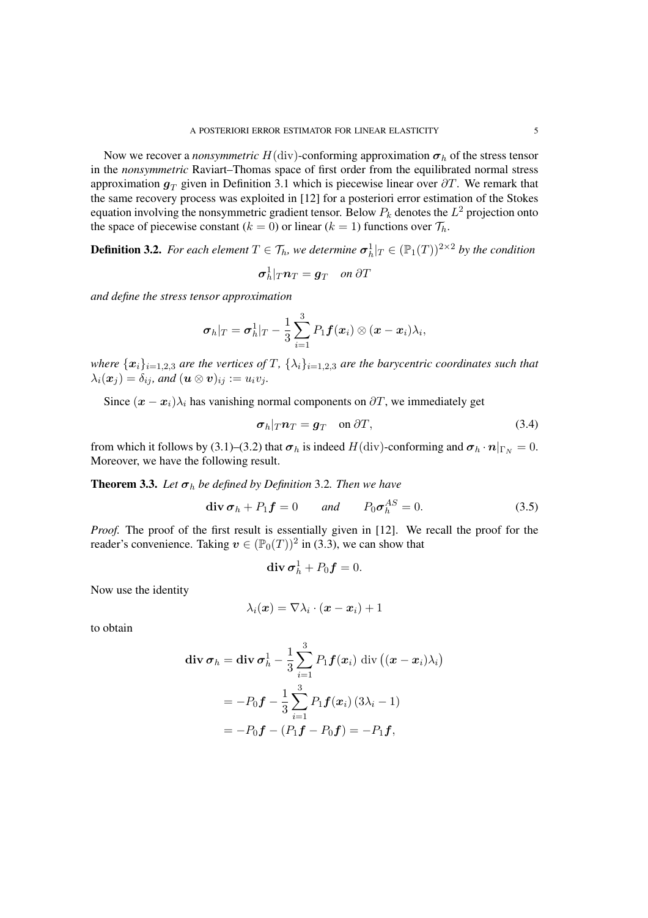Now we recover a *nonsymmetric*  $H$ (div)-conforming approximation  $\sigma_h$  of the stress tensor in the *nonsymmetric* Raviart–Thomas space of first order from the equilibrated normal stress approximation  $g_T$  given in Definition 3.1 which is piecewise linear over  $\partial T$ . We remark that the same recovery process was exploited in [12] for a posteriori error estimation of the Stokes equation involving the nonsymmetric gradient tensor. Below *P<sup>k</sup>* denotes the *L* <sup>2</sup> projection onto the space of piecewise constant ( $k = 0$ ) or linear ( $k = 1$ ) functions over  $\mathcal{T}_h$ .

**Definition 3.2.** For each element  $T \in \mathcal{T}_h$ , we determine  $\sigma^1_h|_T \in (\mathbb{P}_1(T))^{2 \times 2}$  by the condition

$$
\boldsymbol{\sigma}_h^1|_T\boldsymbol{n}_T=\boldsymbol{g}_T \quad on \ \partial T
$$

*and define the stress tensor approximation*

$$
\boldsymbol{\sigma}_h|_T = \boldsymbol{\sigma}_h^1|_T - \frac{1}{3}\sum_{i=1}^3 P_1 \boldsymbol{f}(\boldsymbol{x}_i) \otimes (\boldsymbol{x} - \boldsymbol{x}_i) \lambda_i,
$$

where  $\{x_i\}_{i=1,2,3}$  are the vertices of T,  $\{\lambda_i\}_{i=1,2,3}$  are the barycentric coordinates such that  $\lambda_i(\boldsymbol{x}_i) = \delta_{ij}$ *, and*  $(\boldsymbol{u} \otimes \boldsymbol{v})_{ij} := u_i v_j$ *.* 

Since  $(x - x_i)\lambda_i$  has vanishing normal components on  $\partial T$ , we immediately get

$$
\sigma_h|_T n_T = g_T \quad \text{on } \partial T,
$$
\n(3.4)

from which it follows by (3.1)–(3.2) that  $\sigma_h$  is indeed  $H(\text{div})$ -conforming and  $\sigma_h \cdot n|_{\Gamma_N} = 0$ . Moreover, we have the following result.

**Theorem 3.3.** Let  $\sigma_h$  be defined by Definition 3.2. Then we have

$$
\operatorname{div} \boldsymbol{\sigma}_h + P_1 \boldsymbol{f} = 0 \quad \text{and} \quad P_0 \boldsymbol{\sigma}_h^{AS} = 0. \tag{3.5}
$$

*Proof.* The proof of the first result is essentially given in [12]. We recall the proof for the reader's convenience. Taking  $v \in (\mathbb{P}_0(T))^2$  in (3.3), we can show that

$$
\operatorname{div} \boldsymbol{\sigma}_h^1 + P_0 \boldsymbol{f} = 0.
$$

Now use the identity

$$
\lambda_i(\boldsymbol{x}) = \nabla \lambda_i \cdot (\boldsymbol{x} - \boldsymbol{x}_i) + 1
$$

to obtain

$$
\begin{aligned} \mathbf{div}\,\boldsymbol{\sigma}_h &= \mathbf{div}\,\boldsymbol{\sigma}_h^1 - \frac{1}{3}\sum_{i=1}^3 P_1 \boldsymbol{f}(\boldsymbol{x}_i) \,\operatorname{div}\left((\boldsymbol{x} - \boldsymbol{x}_i)\lambda_i\right) \\ &= -P_0 \boldsymbol{f} - \frac{1}{3}\sum_{i=1}^3 P_1 \boldsymbol{f}(\boldsymbol{x}_i) \left(3\lambda_i - 1\right) \\ &= -P_0 \boldsymbol{f} - \left(P_1 \boldsymbol{f} - P_0 \boldsymbol{f}\right) = -P_1 \boldsymbol{f}, \end{aligned}
$$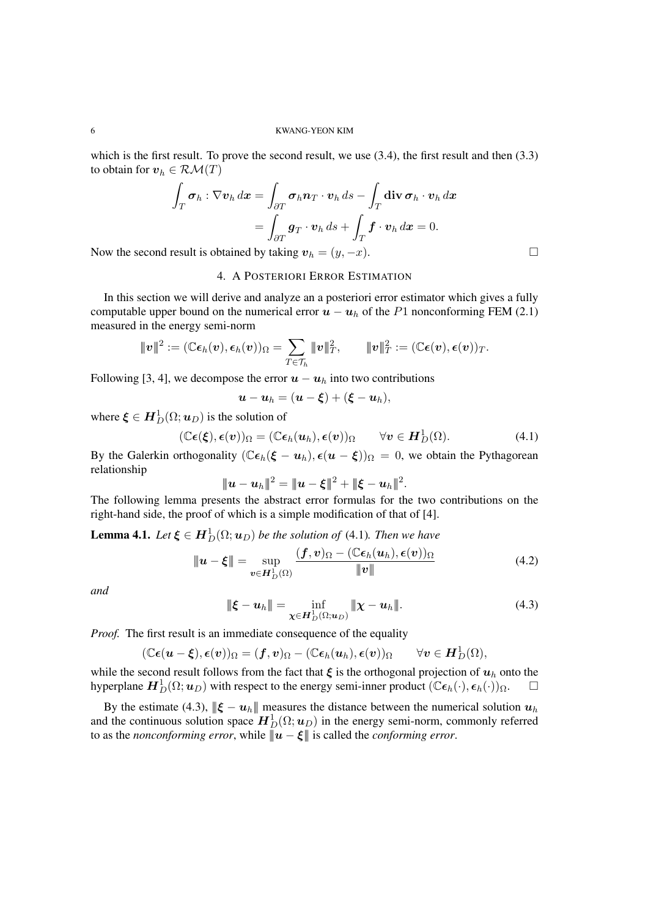which is the first result. To prove the second result, we use  $(3.4)$ , the first result and then  $(3.3)$ to obtain for  $v_h \in \mathcal{R}\mathcal{M}(T)$ 

$$
\int_T \sigma_h : \nabla v_h \, dx = \int_{\partial T} \sigma_h \mathbf{n}_T \cdot \mathbf{v}_h \, ds - \int_T \operatorname{div} \sigma_h \cdot \mathbf{v}_h \, dx
$$

$$
= \int_{\partial T} \mathbf{g}_T \cdot \mathbf{v}_h \, ds + \int_T \mathbf{f} \cdot \mathbf{v}_h \, dx = 0.
$$

Now the second result is obtained by taking  $v_h = (y, -x)$ .

# 4. A POSTERIORI ERROR ESTIMATION

In this section we will derive and analyze an a posteriori error estimator which gives a fully computable upper bound on the numerical error  $u - u_h$  of the *P*1 nonconforming FEM (2.1) measured in the energy semi-norm

$$
\|\boldsymbol{v}\|^2:=(\mathbb{C}\boldsymbol{\epsilon}_h(\boldsymbol{v}),\boldsymbol{\epsilon}_h(\boldsymbol{v}))_{\Omega}=\sum_{T\in\mathcal{T}_h}\|\boldsymbol{v}\|_T^2,\qquad \|\boldsymbol{v}\|_T^2:=(\mathbb{C}\boldsymbol{\epsilon}(\boldsymbol{v}),\boldsymbol{\epsilon}(\boldsymbol{v}))_T.
$$

Following [3, 4], we decompose the error  $u - u_h$  into two contributions

$$
\boldsymbol{u}-\boldsymbol{u}_h=(\boldsymbol{u}-\boldsymbol{\xi})+(\boldsymbol{\xi}-\boldsymbol{u}_h),
$$

where  $\boldsymbol{\xi} \in \boldsymbol{H}^1_D(\Omega;\boldsymbol{u}_D)$  is the solution of

$$
(\mathbb{C}\boldsymbol{\epsilon}(\boldsymbol{\xi}),\boldsymbol{\epsilon}(\boldsymbol{v}))_{\Omega}=(\mathbb{C}\boldsymbol{\epsilon}_h(\boldsymbol{u}_h),\boldsymbol{\epsilon}(\boldsymbol{v}))_{\Omega} \qquad \forall \boldsymbol{v} \in \boldsymbol{H}_D^1(\Omega).
$$
 (4.1)

By the Galerkin orthogonality  $(\mathbb{C}\epsilon_h(\xi - u_h), \epsilon(u - \xi))_{\Omega} = 0$ , we obtain the Pythagorean relationship

$$
\|\bm{u}-\bm{u}_h\|^2=\|\bm{u}-\bm{\xi}\|^2+\|\bm{\xi}-\bm{u}_h\|^2.
$$

The following lemma presents the abstract error formulas for the two contributions on the right-hand side, the proof of which is a simple modification of that of [4].

**Lemma 4.1.** *Let*  $\xi \in H_D^1(\Omega; \boldsymbol{u}_D)$  *be the solution of* (4.1)*. Then we have* 

$$
\|\boldsymbol{u} - \boldsymbol{\xi}\| = \sup_{\boldsymbol{v} \in \boldsymbol{H}_{D}^{1}(\Omega)} \frac{(\boldsymbol{f}, \boldsymbol{v})_{\Omega} - (\mathbb{C}\boldsymbol{\epsilon}_{h}(\boldsymbol{u}_{h}), \boldsymbol{\epsilon}(\boldsymbol{v}))_{\Omega}}{\|\boldsymbol{v}\|}
$$
(4.2)

*and*

$$
\|\boldsymbol{\xi} - \boldsymbol{u}_h\| = \inf_{\boldsymbol{\chi} \in \boldsymbol{H}_D^1(\Omega; \boldsymbol{u}_D)} \|\boldsymbol{\chi} - \boldsymbol{u}_h\|.
$$
 (4.3)

*Proof.* The first result is an immediate consequence of the equality

$$
(\mathbb{C}\boldsymbol{\epsilon}(\boldsymbol{u}-\boldsymbol{\xi}),\boldsymbol{\epsilon}(\boldsymbol{v}))_{\Omega}=(\boldsymbol{f},\boldsymbol{v})_{\Omega}-(\mathbb{C}\boldsymbol{\epsilon}_h(\boldsymbol{u}_h),\boldsymbol{\epsilon}(\boldsymbol{v}))_{\Omega} \qquad \forall \boldsymbol{v} \in \boldsymbol{H}^1_D(\Omega),
$$

while the second result follows from the fact that  $\xi$  is the orthogonal projection of  $u_h$  onto the hyperplane  $H_D^1(\Omega; u_D)$  with respect to the energy semi-inner product  $(\mathbb{C}\epsilon_h(\cdot), \epsilon_h(\cdot))_{\Omega}$ .

By the estimate (4.3),  $\|\boldsymbol{\xi} - \boldsymbol{u}_h\|$  measures the distance between the numerical solution  $\boldsymbol{u}_h$ and the continuous solution space  $H_D^1(\Omega; \boldsymbol{u}_D)$  in the energy semi-norm, commonly referred to as the *nonconforming error*, while  $\|\hat{u} - \xi\|$  is called the *conforming error*.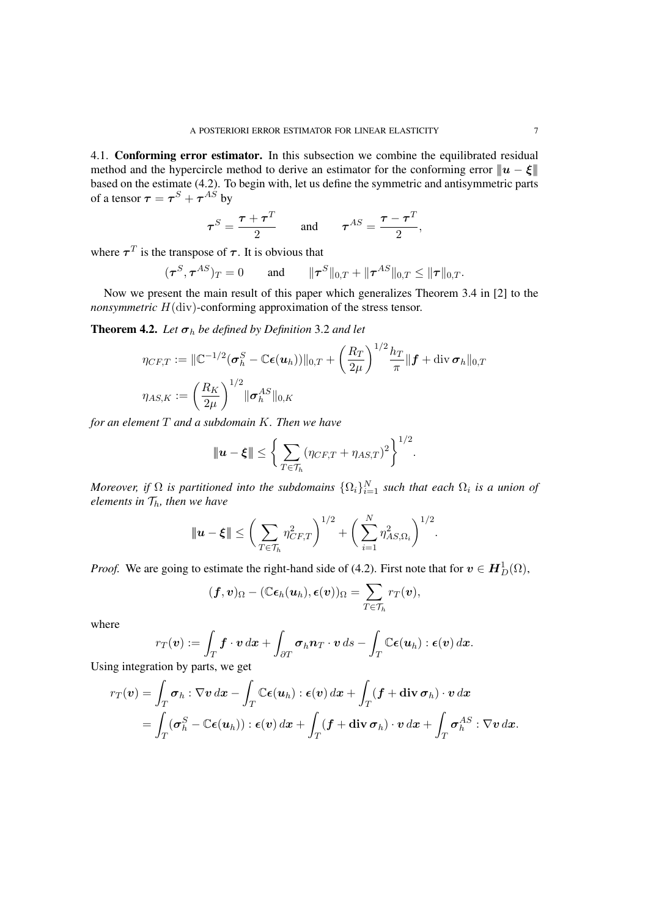4.1. Conforming error estimator. In this subsection we combine the equilibrated residual method and the hypercircle method to derive an estimator for the conforming error  $||u - \xi||$ based on the estimate (4.2). To begin with, let us define the symmetric and antisymmetric parts of a tensor  $\boldsymbol{\tau} = \boldsymbol{\tau}^S + \boldsymbol{\tau}^{AS}$  by

$$
\tau^{S} = \frac{\tau + \tau^{T}}{2} \quad \text{and} \quad \tau^{AS} = \frac{\tau - \tau^{T}}{2},
$$

where  $\tau^T$  is the transpose of  $\tau$ . It is obvious that

$$
(\tau^S, \tau^{AS})_T = 0
$$
 and  $\|\tau^S\|_{0,T} + \|\tau^{AS}\|_{0,T} \le \|\tau\|_{0,T}.$ 

Now we present the main result of this paper which generalizes Theorem 3.4 in [2] to the *nonsymmetric*  $H$ (div)-conforming approximation of the stress tensor.

**Theorem 4.2.** Let  $\sigma_h$  be defined by Definition 3.2 and let

$$
\eta_{CF,T} := \|\mathbb{C}^{-1/2}(\boldsymbol{\sigma}_h^S - \mathbb{C}\boldsymbol{\epsilon}(\boldsymbol{u}_h))\|_{0,T} + \left(\frac{R_T}{2\mu}\right)^{1/2} \frac{h_T}{\pi} \|\boldsymbol{f} + \text{div}\,\boldsymbol{\sigma}_h\|_{0,T}
$$

$$
\eta_{AS,K} := \left(\frac{R_K}{2\mu}\right)^{1/2} \|\boldsymbol{\sigma}_h^{AS}\|_{0,K}
$$

*for an element T and a subdomain K. Then we have*

$$
\|\mathbf{u}-\boldsymbol{\xi}\| \leq \bigg\{\sum_{T\in\mathcal{T}_h} (\eta_{CF,T} + \eta_{AS,T})^2\bigg\}^{1/2}.
$$

*Moreover, if*  $\Omega$  *is partitioned into the subdomains*  $\{\Omega_i\}_{i=1}^N$  *such that each*  $\Omega_i$  *is a union of elements in Th, then we have*

$$
\|\mathbf{u}-\boldsymbol{\xi}\| \leq \bigg(\sum_{T\in\mathcal{T}_h} \eta_{CF,T}^2\bigg)^{1/2} + \bigg(\sum_{i=1}^N \eta_{AS,\Omega_i}^2\bigg)^{1/2}.
$$

*Proof.* We are going to estimate the right-hand side of (4.2). First note that for  $v \in H_D^1(\Omega)$ ,

$$
(\boldsymbol{f},\boldsymbol{v})_{\Omega}-(\mathbb{C}\boldsymbol{\epsilon}_h(\boldsymbol{u}_h),\boldsymbol{\epsilon}(\boldsymbol{v}))_{\Omega}=\sum_{T\in\mathcal{T}_h}r_T(\boldsymbol{v}),
$$

where

$$
r_T(\boldsymbol{v}) := \int_T \boldsymbol{f} \cdot \boldsymbol{v} \, d\boldsymbol{x} + \int_{\partial T} \boldsymbol{\sigma}_h \boldsymbol{n}_T \cdot \boldsymbol{v} \, ds - \int_T \mathbb{C} \boldsymbol{\epsilon}(\boldsymbol{u}_h) : \boldsymbol{\epsilon}(\boldsymbol{v}) \, d\boldsymbol{x}.
$$

Using integration by parts, we get

$$
r_T(\boldsymbol{v}) = \int_T \boldsymbol{\sigma}_h : \nabla \boldsymbol{v} \, dx - \int_T \mathbb{C} \boldsymbol{\epsilon}(\boldsymbol{u}_h) : \boldsymbol{\epsilon}(\boldsymbol{v}) \, dx + \int_T (\boldsymbol{f} + \operatorname{div} \boldsymbol{\sigma}_h) \cdot \boldsymbol{v} \, dx
$$
  
= 
$$
\int_T (\boldsymbol{\sigma}_h^S - \mathbb{C} \boldsymbol{\epsilon}(\boldsymbol{u}_h)) : \boldsymbol{\epsilon}(\boldsymbol{v}) \, dx + \int_T (\boldsymbol{f} + \operatorname{div} \boldsymbol{\sigma}_h) \cdot \boldsymbol{v} \, dx + \int_T \boldsymbol{\sigma}_h^{AS} : \nabla \boldsymbol{v} \, dx.
$$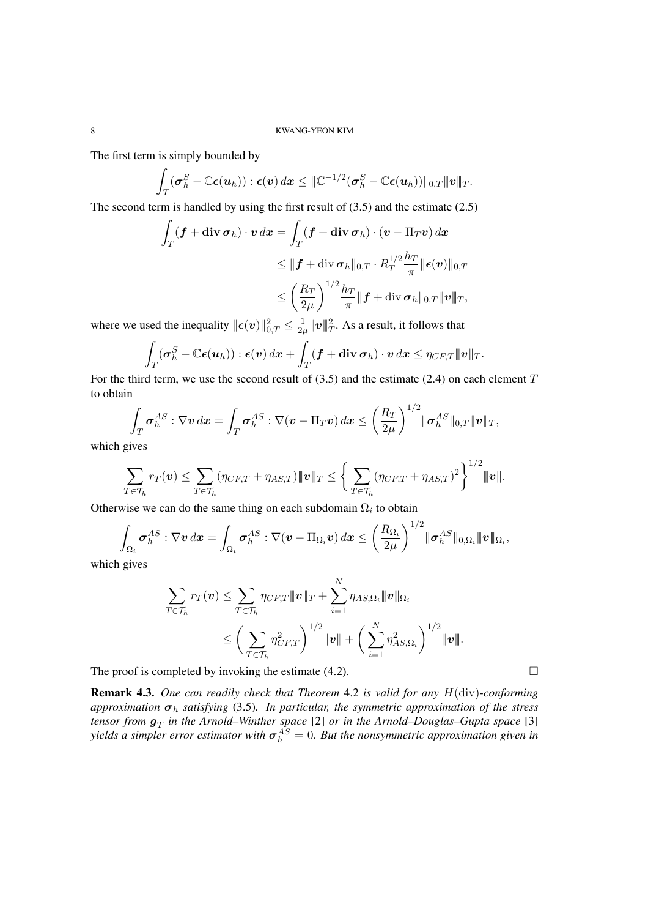The first term is simply bounded by

$$
\int_T (\boldsymbol{\sigma}_h^S - \mathbb{C}\boldsymbol{\epsilon}(\boldsymbol{u}_h)) : \boldsymbol{\epsilon}(\boldsymbol{v}) \, d\boldsymbol{x} \leq \|\mathbb{C}^{-1/2} (\boldsymbol{\sigma}_h^S - \mathbb{C}\boldsymbol{\epsilon}(\boldsymbol{u}_h))\|_{0,T} \|\boldsymbol{v}\|_T.
$$

The second term is handled by using the first result of (3.5) and the estimate (2.5)

$$
\int_T (\mathbf{f} + \mathrm{div} \, \boldsymbol{\sigma}_h) \cdot \boldsymbol{v} \, dx = \int_T (\mathbf{f} + \mathrm{div} \, \boldsymbol{\sigma}_h) \cdot (\boldsymbol{v} - \Pi_T \boldsymbol{v}) \, dx
$$
\n
$$
\leq \| \mathbf{f} + \mathrm{div} \, \boldsymbol{\sigma}_h \|_{0,T} \cdot R_T^{1/2} \frac{h_T}{\pi} \| \boldsymbol{\epsilon}(\boldsymbol{v}) \|_{0,T}
$$
\n
$$
\leq \left( \frac{R_T}{2\mu} \right)^{1/2} \frac{h_T}{\pi} \| \mathbf{f} + \mathrm{div} \, \boldsymbol{\sigma}_h \|_{0,T} \| \boldsymbol{v} \|_T,
$$

where we used the inequality  $\|\epsilon(v)\|_{0,T}^2 \leq \frac{1}{2\mu}$  $\frac{1}{2\mu}$   $|\!|\!| v |\!|\!|_T^2.$  As a result, it follows that

$$
\int_T (\boldsymbol{\sigma}_h^S - \mathbb{C}\boldsymbol{\epsilon}(\boldsymbol{u}_h)) : \boldsymbol{\epsilon}(\boldsymbol{v}) \, d\boldsymbol{x} + \int_T (\boldsymbol{f} + \operatorname{\bf div} \boldsymbol{\sigma}_h) \cdot \boldsymbol{v} \, d\boldsymbol{x} \leq \eta_{CF,T} |\!|\!| \boldsymbol{v} |\!|\!|_T.
$$

For the third term, we use the second result of (3.5) and the estimate (2.4) on each element *T* to obtain

$$
\int_T \boldsymbol{\sigma}_h^{AS} : \nabla \boldsymbol{v} \, dx = \int_T \boldsymbol{\sigma}_h^{AS} : \nabla (\boldsymbol{v} - \Pi_T \boldsymbol{v}) \, dx \leq \left(\frac{R_T}{2\mu}\right)^{1/2} \|\boldsymbol{\sigma}_h^{AS}\|_{0,T} \|\boldsymbol{v}\|_T,
$$

which gives

$$
\sum_{T\in\mathcal{T}_h}r_T(\boldsymbol{v})\leq \sum_{T\in\mathcal{T}_h}(\eta_{CF,T}+\eta_{AS,T})\|\boldsymbol{v}\|_T\leq \bigg\{\sum_{T\in\mathcal{T}_h}(\eta_{CF,T}+\eta_{AS,T})^2\bigg\}^{1/2}\|\boldsymbol{v}\|.
$$

Otherwise we can do the same thing on each subdomain  $\Omega_i$  to obtain

$$
\int_{\Omega_i} \boldsymbol{\sigma}^{AS}_{h} : \nabla \boldsymbol{v} \, d\boldsymbol{x} = \int_{\Omega_i} \boldsymbol{\sigma}^{AS}_{h} : \nabla (\boldsymbol{v} - \Pi_{\Omega_i} \boldsymbol{v}) \, d\boldsymbol{x} \leq \left(\frac{R_{\Omega_i}}{2\mu}\right)^{1/2} \| \boldsymbol{\sigma}^{AS}_{h} \|_{0,\Omega_i} \| \boldsymbol{v} \|_{\Omega_i},
$$

which gives

$$
\sum_{T \in \mathcal{T}_h} r_T(\mathbf{v}) \leq \sum_{T \in \mathcal{T}_h} \eta_{CF,T} \|\mathbf{v}\|_T + \sum_{i=1}^N \eta_{AS,\Omega_i} \|\mathbf{v}\|_{\Omega_i}
$$
\n
$$
\leq \left(\sum_{T \in \mathcal{T}_h} \eta_{CF,T}^2\right)^{1/2} \|\mathbf{v}\| + \left(\sum_{i=1}^N \eta_{AS,\Omega_i}^2\right)^{1/2} \|\mathbf{v}\|.
$$

The proof is completed by invoking the estimate  $(4.2)$ .

Remark 4.3. *One can readily check that Theorem* 4.2 *is valid for any H*(div)*-conforming approximation σ<sup>h</sup> satisfying* (3.5)*. In particular, the symmetric approximation of the stress tensor from g<sup>T</sup> in the Arnold–Winther space* [2] *or in the Arnold–Douglas–Gupta space* [3]  $\sigma_h^{10}$  *yields a simpler error estimator with*  $\sigma_h^{AS} = 0$ *. But the nonsymmetric approximation given in*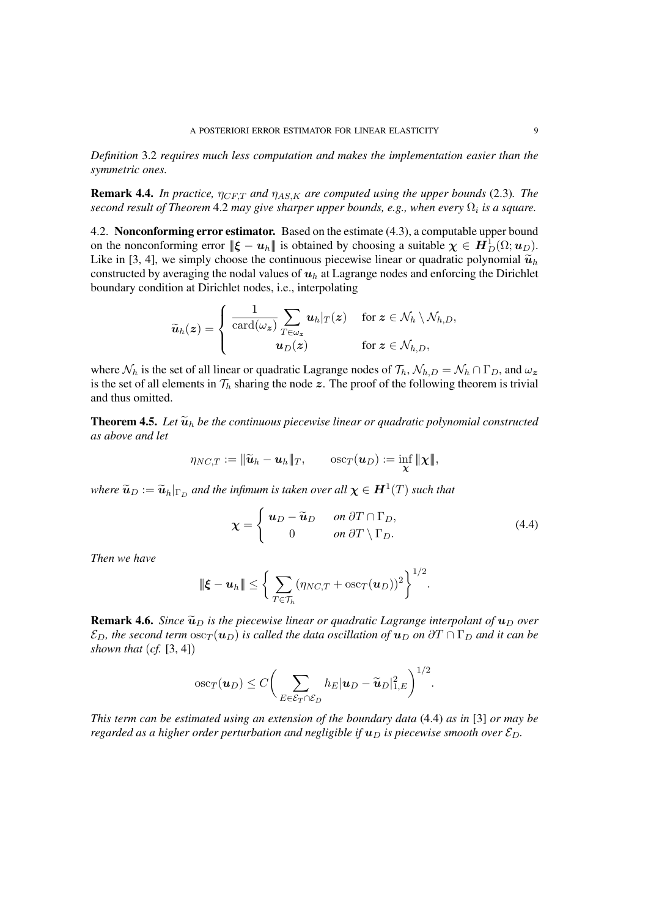*Definition* 3.2 *requires much less computation and makes the implementation easier than the symmetric ones.*

**Remark 4.4.** *In practice,*  $\eta_{CFT}$  *and*  $\eta_{AS,K}$  *are computed using the upper bounds* (2.3)*. The second result of Theorem* 4.2 *may give sharper upper bounds, e.g., when every* Ω*<sup>i</sup> is a square.*

4.2. Nonconforming error estimator. Based on the estimate (4.3), a computable upper bound on the nonconforming error  $\|\boldsymbol{\xi} - \boldsymbol{u}_h\|$  is obtained by choosing a suitable  $\boldsymbol{\chi} \in \boldsymbol{H}_D^1(\Omega; \boldsymbol{u}_D)$ . Like in [3, 4], we simply choose the continuous piecewise linear or quadratic polynomial  $\tilde{u}_h$ constructed by averaging the nodal values of  $u_h$  at Lagrange nodes and enforcing the Dirichlet boundary condition at Dirichlet nodes, i.e., interpolating

$$
\widetilde{\boldsymbol{u}}_h(\boldsymbol{z}) = \left\{ \begin{array}{cl} \frac{1}{\operatorname{card}(\omega_{\boldsymbol{z}})} \sum_{T \in \omega_{\boldsymbol{z}}} \boldsymbol{u}_h|_T(\boldsymbol{z}) & \text{ for } \boldsymbol{z} \in \mathcal{N}_h \setminus \mathcal{N}_{h,D}, \\ \boldsymbol{u}_D(\boldsymbol{z}) & \text{ for } \boldsymbol{z} \in \mathcal{N}_{h,D}, \end{array} \right.
$$

where  $\mathcal{N}_h$  is the set of all linear or quadratic Lagrange nodes of  $\mathcal{T}_h$ ,  $\mathcal{N}_{h,D} = \mathcal{N}_h \cap \Gamma_D$ , and  $\omega_z$ is the set of all elements in  $\mathcal{T}_h$  sharing the node  $z$ . The proof of the following theorem is trivial and thus omitted.

**Theorem 4.5.** Let  $\widetilde{\mathbf{u}}_h$  be the continuous piecewise linear or quadratic polynomial constructed *as above and let*

$$
\eta_{NC,T}:=\|\widetilde{\boldsymbol{u}}_h-\boldsymbol{u}_h\|_T,\qquad\mathrm{osc}_T(\boldsymbol{u}_D):=\inf_{\boldsymbol{\chi}}\|\boldsymbol{\chi}\|,
$$

 $w$ *here*  $\widetilde{\bm{u}}_D := \widetilde{\bm{u}}_h|_{\Gamma_D}$  and the infimum is taken over all  $\bm{\chi} \in \bm{H}^1(T)$  such that

$$
\chi = \begin{cases} u_D - \widetilde{u}_D & \text{on } \partial T \cap \Gamma_D, \\ 0 & \text{on } \partial T \setminus \Gamma_D. \end{cases}
$$
(4.4)

*Then we have*

$$
\|\boldsymbol{\xi}-\boldsymbol{u}_h\|\leq \bigg\{\sum_{T\in\mathcal{T}_h}(\eta_{NC,T}+\mathrm{osc}_T(\boldsymbol{u}_D))^2\bigg\}^{1/2}.
$$

**Remark 4.6.** *Since*  $\tilde{u}_D$  *is the piecewise linear or quadratic Lagrange interpolant of*  $u_D$  *over*  $\mathcal{E}_D$ *, the second term*  $\csc_T(\mathbf{u}_D)$  *is called the data oscillation of*  $\mathbf{u}_D$  *on*  $\partial T \cap \Gamma_D$  *and it can be shown that* (*cf.* [3, 4])

$$
\mathrm{osc}_T(\boldsymbol{u}_D) \leq C \bigg(\sum_{E \in \mathcal{E}_T \cap \mathcal{E}_D} h_E |\boldsymbol{u}_D - \widetilde{\boldsymbol{u}}_D|_{1,E}^2\bigg)^{1/2}.
$$

*This term can be estimated using an extension of the boundary data* (4.4) *as in* [3] *or may be regarded as a higher order perturbation and negligible if*  $\mathbf{u}_D$  *is piecewise smooth over*  $\mathcal{E}_D$ *.*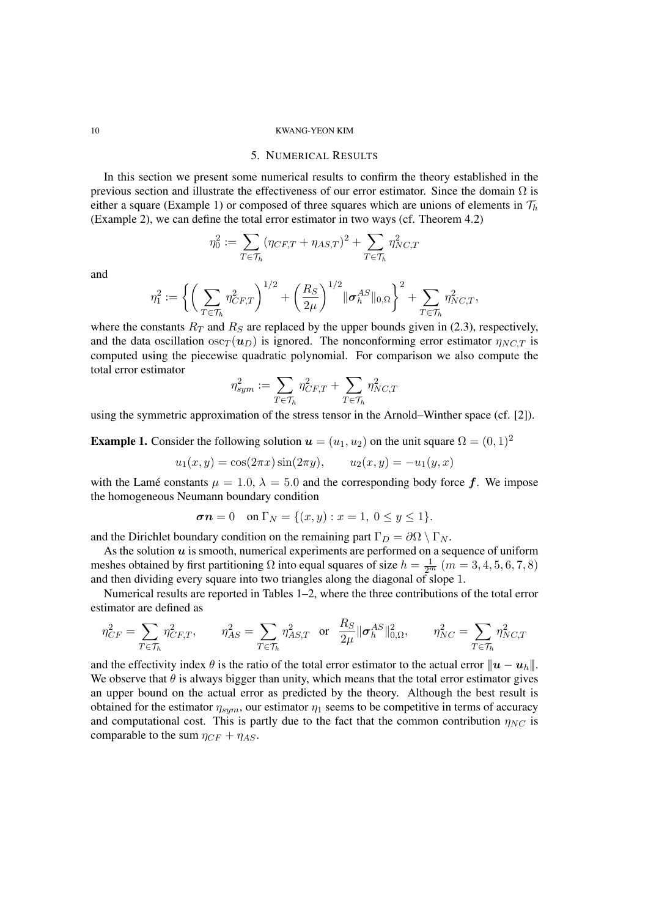## 5. NUMERICAL RESULTS

In this section we present some numerical results to confirm the theory established in the previous section and illustrate the effectiveness of our error estimator. Since the domain  $\Omega$  is either a square (Example 1) or composed of three squares which are unions of elements in  $\mathcal{T}_h$ (Example 2), we can define the total error estimator in two ways (cf. Theorem 4.2)

$$
\eta_0^2 := \sum_{T \in \mathcal{T}_h} (\eta_{CF,T} + \eta_{AS,T})^2 + \sum_{T \in \mathcal{T}_h} \eta_{NC,T}^2
$$

and

$$
\eta_1^2 := \left\{ \left( \sum_{T \in \mathcal{T}_h} \eta_{CF,T}^2 \right)^{1/2} + \left( \frac{R_S}{2\mu} \right)^{1/2} ||\boldsymbol{\sigma}_h^{AS}||_{0,\Omega} \right\}^2 + \sum_{T \in \mathcal{T}_h} \eta_{NC,T}^2,
$$

where the constants  $R_T$  and  $R_S$  are replaced by the upper bounds given in (2.3), respectively, and the data oscillation  $\csc_T(u_D)$  is ignored. The nonconforming error estimator  $\eta_{NCT}$  is computed using the piecewise quadratic polynomial. For comparison we also compute the total error estimator

$$
\eta_{sym}^2 := \sum_{T \in \mathcal{T}_h} \eta_{CF,T}^2 + \sum_{T \in \mathcal{T}_h} \eta_{NC,T}^2
$$

using the symmetric approximation of the stress tensor in the Arnold–Winther space (cf. [2]).

**Example 1.** Consider the following solution  $u = (u_1, u_2)$  on the unit square  $\Omega = (0, 1)^2$ 

$$
u_1(x, y) = \cos(2\pi x)\sin(2\pi y),
$$
  $u_2(x, y) = -u_1(y, x)$ 

with the Lamé constants  $\mu = 1.0$ ,  $\lambda = 5.0$  and the corresponding body force  $f$ . We impose the homogeneous Neumann boundary condition

$$
\sigma n = 0
$$
 on  $\Gamma_N = \{(x, y) : x = 1, 0 \le y \le 1\}.$ 

and the Dirichlet boundary condition on the remaining part  $\Gamma_D = \partial \Omega \setminus \Gamma_N$ .

As the solution *u* is smooth, numerical experiments are performed on a sequence of uniform meshes obtained by first partitioning  $\Omega$  into equal squares of size  $h = \frac{1}{2^m}$   $(m = 3, 4, 5, 6, 7, 8)$ and then dividing every square into two triangles along the diagonal of slope 1.

Numerical results are reported in Tables 1–2, where the three contributions of the total error estimator are defined as

$$
\eta_{CF}^2 = \sum_{T \in \mathcal{T}_h} \eta_{CF,T}^2, \qquad \eta_{AS}^2 = \sum_{T \in \mathcal{T}_h} \eta_{AS,T}^2 \quad \text{or} \quad \frac{R_S}{2\mu} \|\boldsymbol{\sigma}_h^{AS}\|_{0,\Omega}^2, \qquad \eta_{NC}^2 = \sum_{T \in \mathcal{T}_h} \eta_{NC,T}^2
$$

and the effectivity index  $\theta$  is the ratio of the total error estimator to the actual error  $||u - u_h||$ . We observe that  $\theta$  is always bigger than unity, which means that the total error estimator gives an upper bound on the actual error as predicted by the theory. Although the best result is obtained for the estimator  $\eta_{sym}$ , our estimator  $\eta_1$  seems to be competitive in terms of accuracy and computational cost. This is partly due to the fact that the common contribution  $\eta_{NC}$  is comparable to the sum  $\eta_{CF} + \eta_{AS}$ .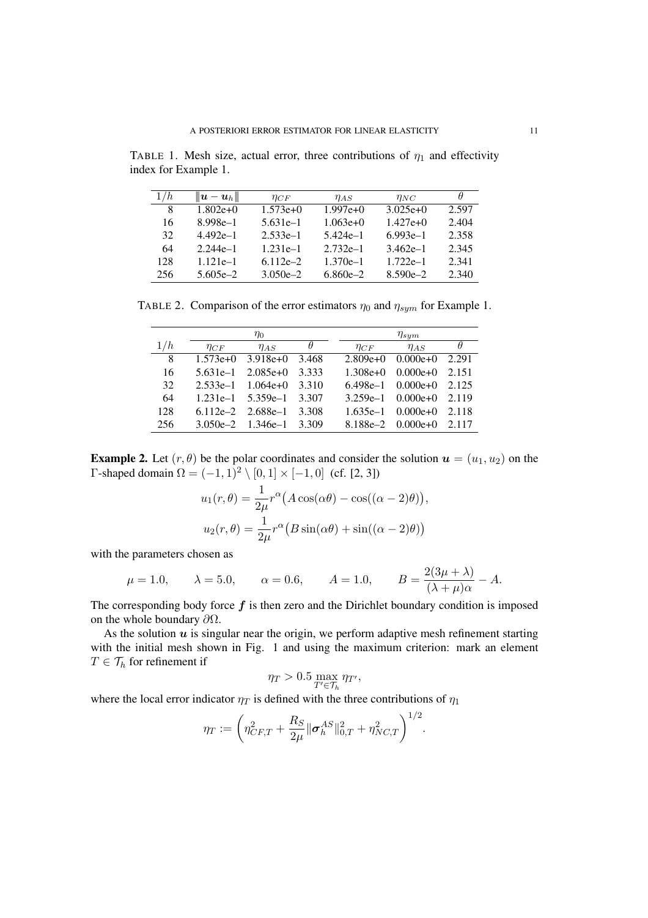TABLE 1. Mesh size, actual error, three contributions of  $\eta_1$  and effectivity index for Example 1.

| 1/h | $\  \boldsymbol{u} - \boldsymbol{u}_h \ $ | $\eta_{CF}$  | $\eta_{AS}$  | $\eta_{NC}$  | $\theta$ |
|-----|-------------------------------------------|--------------|--------------|--------------|----------|
| 8   | $1.802e+0$                                | $1.573e+0$   | $1.997e+0$   | $3.025e+0$   | 2.597    |
| 16  | $8.998e-1$                                | $5.631e-1$   | $1.063e+0$   | $1.427e+0$   | 2.404    |
| 32  | $4.492e-1$                                | $2.533e-1$   | $5.424e-1$   | $6.993e-1$   | 2.358    |
| 64  | $2.244e-1$                                | $1.231e-1$   | $2.732e-1$   | $3.462e-1$   | 2.345    |
| 128 | $1.121e-1$                                | $6.112e - 2$ | $1.370e-1$   | $1.722e-1$   | 2.341    |
| 256 | $5.605e - 2$                              | $3.050e - 2$ | $6.860e - 2$ | $8.590e - 2$ | 2.340    |

TABLE 2. Comparison of the error estimators  $\eta_0$  and  $\eta_{sym}$  for Example 1.

|     | $\eta_0$    |                       |          | $\eta_{sym}$ |             |                           |          |
|-----|-------------|-----------------------|----------|--------------|-------------|---------------------------|----------|
| 1/h | $\eta_{CF}$ | $\eta_{AS}$           | $\theta$ |              | $\eta_{CF}$ | $\eta_{AS}$               | $\theta$ |
| 8   | $1.573e+0$  | $3.918e+0$            | 3.468    |              | $2.809e+0$  | $0.000e+0$                | 2.291    |
| 16  | $5.631e-1$  | $2.085e+0$            | 3.333    |              | $1.308e+0$  | $0.000e+0$                | 2.151    |
| 32  |             | $2.533e-1$ $1.064e+0$ | 3.310    |              | 6.498e–1    | $0.000e+0$                | 2.125    |
| 64  |             | $1.231e-1$ 5.359e-1   | 3.307    |              | $3.259e-1$  | $0.000e+0$                | 2.119    |
| 128 |             | $6.112e-2$ $2.688e-1$ | 3.308    |              | $1.635e-1$  | $0.000e+0$                | 2.118    |
| 256 |             | $3.050e-2$ $1.346e-1$ | 3.309    |              |             | $8.188e-2 \quad 0.000e+0$ | 2.117    |

**Example 2.** Let  $(r, \theta)$  be the polar coordinates and consider the solution  $u = (u_1, u_2)$  on the  $Γ$ -shaped domain  $Ω = (−1, 1)^{2} \setminus [0, 1] \times [-1, 0]$  (cf. [2, 3])

$$
u_1(r,\theta) = \frac{1}{2\mu}r^{\alpha}(A\cos(\alpha\theta) - \cos((\alpha - 2)\theta)),
$$
  

$$
u_2(r,\theta) = \frac{1}{2\mu}r^{\alpha}(B\sin(\alpha\theta) + \sin((\alpha - 2)\theta))
$$

with the parameters chosen as

$$
\mu = 1.0,
$$
\n $\lambda = 5.0,$ \n $\alpha = 0.6,$ \n $A = 1.0,$ \n $B = \frac{2(3\mu + \lambda)}{(\lambda + \mu)\alpha} - A.$ 

The corresponding body force  $f$  is then zero and the Dirichlet boundary condition is imposed on the whole boundary *∂*Ω.

As the solution  $u$  is singular near the origin, we perform adaptive mesh refinement starting with the initial mesh shown in Fig. 1 and using the maximum criterion: mark an element  $T \in \mathcal{T}_h$  for refinement if

$$
\eta_T > 0.5 \max_{T' \in \mathcal{T}_h} \eta_{T'},
$$

where the local error indicator  $\eta_T$  is defined with the three contributions of  $\eta_1$ 

$$
\eta_T := \left(\eta_{CF,T}^2 + \frac{R_S}{2\mu} \|\boldsymbol{\sigma}_h^{AS}\|_{0,T}^2 + \eta_{NC,T}^2\right)^{1/2}.
$$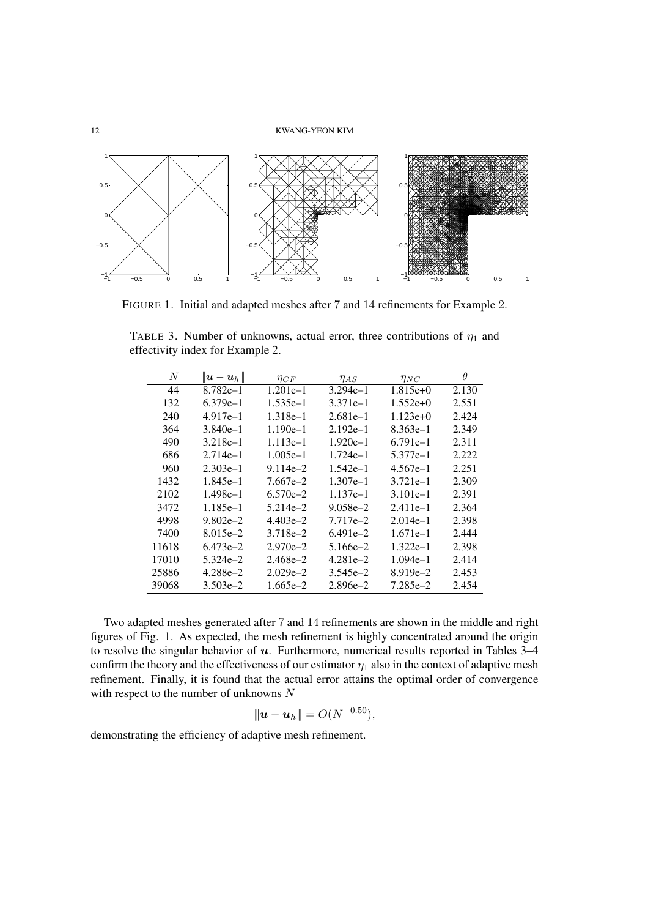

FIGURE 1. Initial and adapted meshes after 7 and 14 refinements for Example 2.

| N     | $ \! \!  \boldsymbol{u}-\boldsymbol{u}_h \! \! $ | $\eta_{CF}$  | $\eta_{AS}$          | $\eta_{NC}$  | $\theta$ |
|-------|--------------------------------------------------|--------------|----------------------|--------------|----------|
| 44    | 8.782e-1                                         | $1.201e-1$   | $3.294e-1$           | $1.815e+0$   | 2.130    |
| 132   | $6.379e-1$                                       | $1.535e-1$   | $3.371e-1$           | $1.552e+0$   | 2.551    |
| 240   | $4.917e-1$                                       | $1.318e-1$   | $2.681e-1$           | $1.123e+0$   | 2.424    |
| 364   | $3.840e-1$                                       | $1.190e-1$   | $2.192e-1$           | $8.363e-1$   | 2.349    |
| 490   | $3.218e-1$                                       | $1.113e-1$   | $1.920e-1$           | $6.791e-1$   | 2.311    |
| 686   | $2.714e-1$                                       | $1.005e-1$   | $1.724e-1$           | 5.377e-1     | 2.222    |
| 960   | $2.303e-1$                                       | $9.114e - 2$ | $1.542e-1$           | 4.567e–1     | 2.251    |
| 1432  | 1.845e-1                                         | $7.667e - 2$ | $1.307e-1$           | $3.721e-1$   | 2.309    |
| 2102  | $1.498e-1$                                       | $6.570e - 2$ | $1.137e-1$           | $3.101e-1$   | 2.391    |
| 3472  | 1.185e-1                                         | $5.214e - 2$ | $9.058e - 2$         | $2.411e-1$   | 2.364    |
| 4998  | $9.802e - 2$                                     | $4.403e-2$   | 7.717e <sup>-2</sup> | $2.014e-1$   | 2.398    |
| 7400  | $8.015e - 2$                                     | 3.718e-2     | $6.491e-2$           | $1.671e-1$   | 2.444    |
| 11618 | $6.473e - 2$                                     | $2.970e - 2$ | $5.166e - 2$         | $1.322e-1$   | 2.398    |
| 17010 | $5.324e - 2$                                     | $2.468e - 2$ | $4.281e - 2$         | $1.094e-1$   | 2.414    |
| 25886 | 4.288e-2                                         | $2.029e - 2$ | $3.545e - 2$         | $8.919e - 2$ | 2.453    |
| 39068 | $3.503e-2$                                       | $1.665e-2$   | $2.896e - 2$         | 7.285e-2     | 2.454    |

TABLE 3. Number of unknowns, actual error, three contributions of  $\eta_1$  and effectivity index for Example 2.

Two adapted meshes generated after 7 and 14 refinements are shown in the middle and right figures of Fig. 1. As expected, the mesh refinement is highly concentrated around the origin to resolve the singular behavior of *u*. Furthermore, numerical results reported in Tables 3–4 confirm the theory and the effectiveness of our estimator  $\eta_1$  also in the context of adaptive mesh refinement. Finally, it is found that the actual error attains the optimal order of convergence with respect to the number of unknowns *N*

$$
\|\mathbf{u}-\mathbf{u}_h\|=O(N^{-0.50}),
$$

demonstrating the efficiency of adaptive mesh refinement.